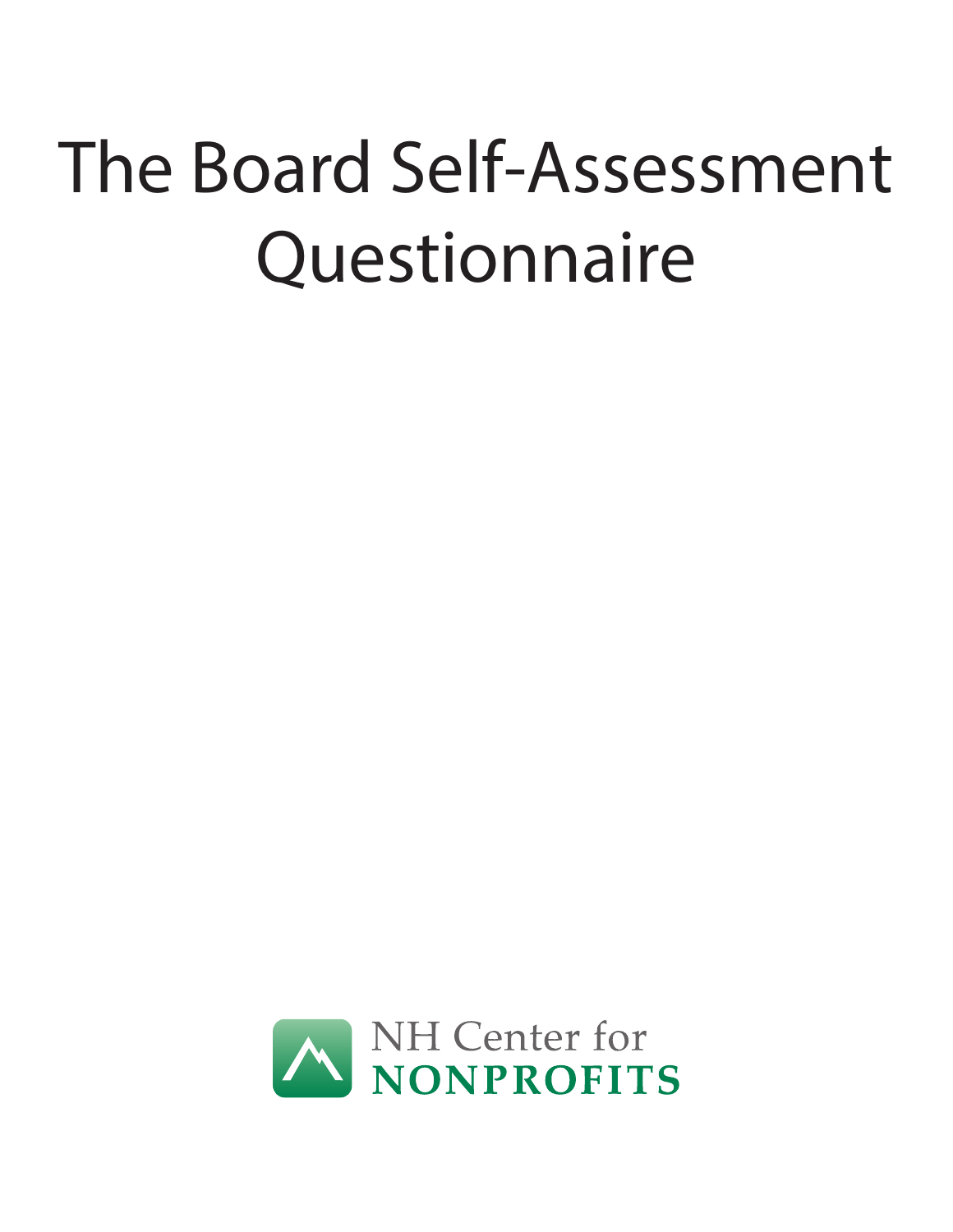# The Board Self-Assessment **Questionnaire**

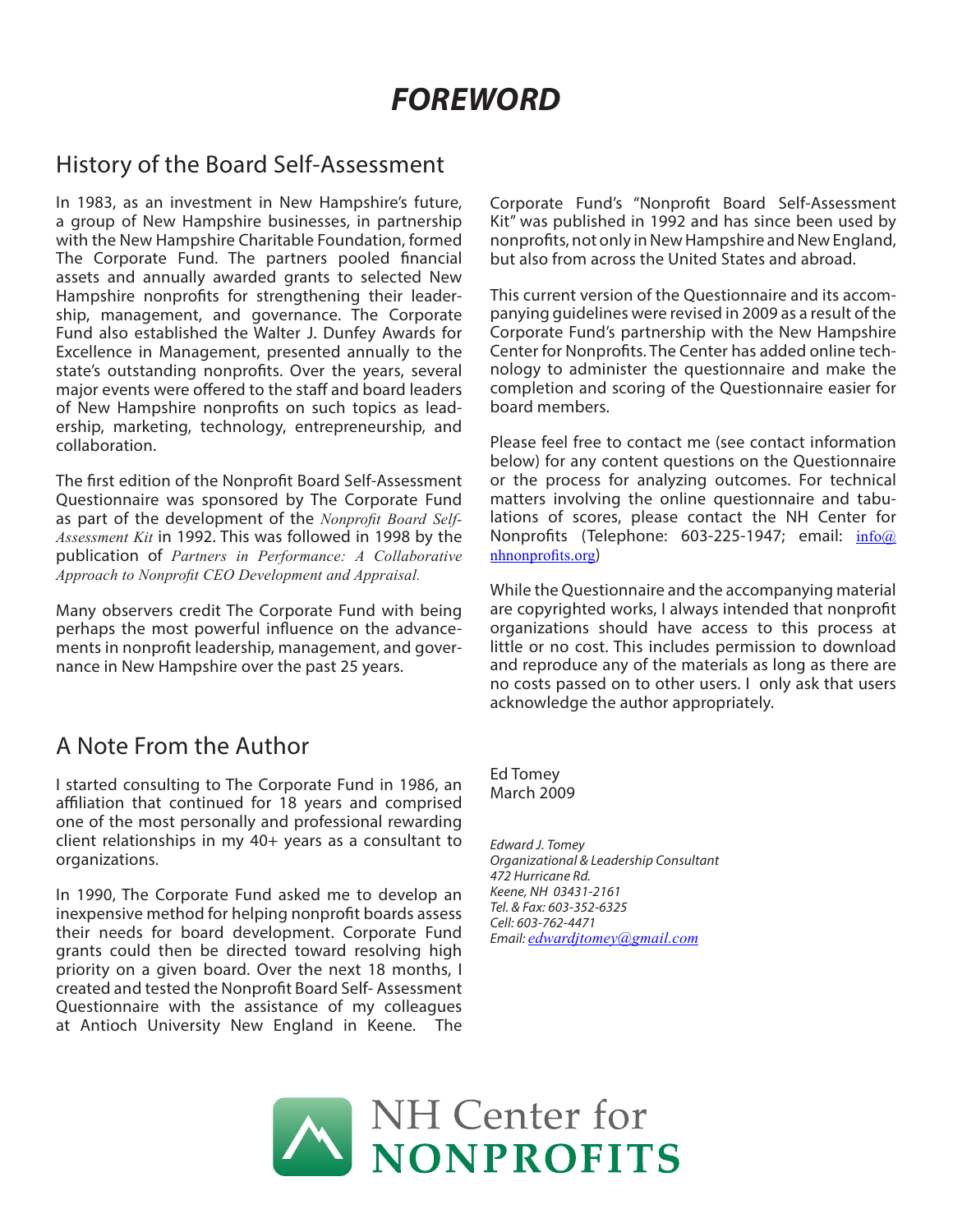# *FOREWORD*

#### History of the Board Self-Assessment

In 1983, as an investment in New Hampshire's future, a group of New Hampshire businesses, in partnership with the New Hampshire Charitable Foundation, formed The Corporate Fund. The partners pooled financial assets and annually awarded grants to selected New Hampshire nonprofits for strengthening their leadership, management, and governance. The Corporate Fund also established the Walter J. Dunfey Awards for Excellence in Management, presented annually to the state's outstanding nonprofits. Over the years, several major events were offered to the staff and board leaders of New Hampshire nonprofits on such topics as leadership, marketing, technology, entrepreneurship, and collaboration.

The first edition of the Nonprofit Board Self-Assessment Questionnaire was sponsored by The Corporate Fund as part of the development of the *Nonprofit Board Self-Assessment Kit* in 1992. This was followed in 1998 by the publication of *Partners in Performance: A Collaborative Approach to Nonprofit CEO Development and Appraisal.*

Many observers credit The Corporate Fund with being perhaps the most powerful influence on the advancements in nonprofit leadership, management, and governance in New Hampshire over the past 25 years.

#### A Note From the Author

I started consulting to The Corporate Fund in 1986, an affiliation that continued for 18 years and comprised one of the most personally and professional rewarding client relationships in my 40+ years as a consultant to organizations.

In 1990, The Corporate Fund asked me to develop an inexpensive method for helping nonprofit boards assess their needs for board development. Corporate Fund grants could then be directed toward resolving high priority on a given board. Over the next 18 months, I created and tested the Nonprofit Board Self- Assessment Questionnaire with the assistance of my colleagues at Antioch University New England in Keene. The

Corporate Fund's "Nonprofit Board Self-Assessment Kit" was published in 1992 and has since been used by nonprofits, not only in New Hampshire and New England, but also from across the United States and abroad.

This current version of the Questionnaire and its accompanying guidelines were revised in 2009 as a result of the Corporate Fund's partnership with the New Hampshire Center for Nonprofits. The Center has added online technology to administer the questionnaire and make the completion and scoring of the Questionnaire easier for board members.

Please feel free to contact me (see contact information below) for any content questions on the Questionnaire or the process for analyzing outcomes. For technical matters involving the online questionnaire and tabulations of scores, please contact the NH Center for Nonprofits (Telephone: 603-225-1947; email: info@ nhnonprofits.org)

While the Questionnaire and the accompanying material are copyrighted works, I always intended that nonprofit organizations should have access to this process at little or no cost. This includes permission to download and reproduce any of the materials as long as there are no costs passed on to other users. I only ask that users acknowledge the author appropriately.

Ed Tomey March 2009

*Edward J. Tomey Organizational & Leadership Consultant 472 Hurricane Rd. Keene, NH 03431-2161 Tel. & Fax: 603-352-6325 Cell: 603-762-4471 Email: edwardjtomey@gmail.com*

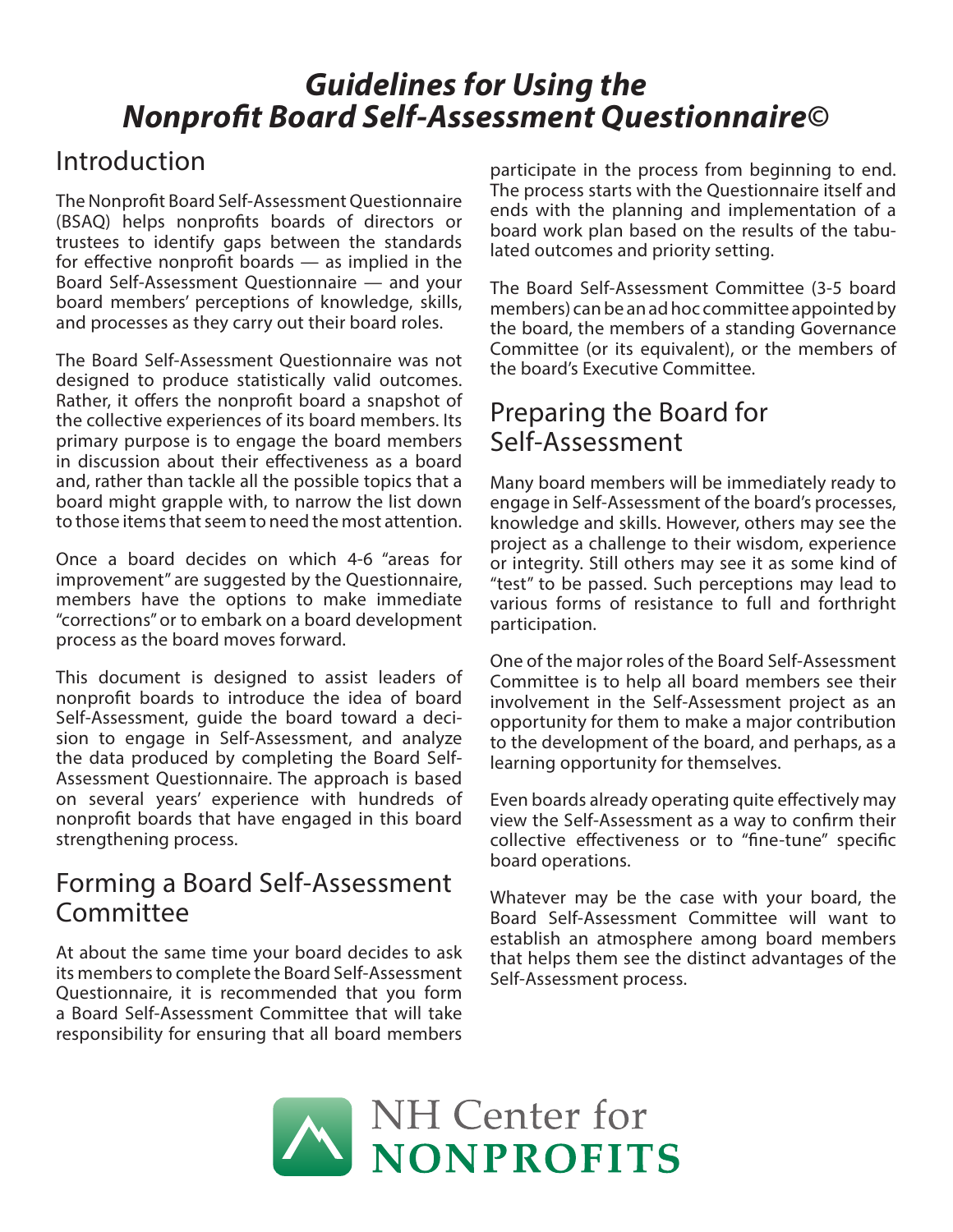# *Guidelines for Using the Nonprofit Board Self-Assessment Questionnaire©*

## Introduction

The Nonprofit Board Self-Assessment Questionnaire (BSAQ) helps nonprofits boards of directors or trustees to identify gaps between the standards for effective nonprofit boards — as implied in the Board Self-Assessment Questionnaire — and your board members' perceptions of knowledge, skills, and processes as they carry out their board roles.

The Board Self-Assessment Questionnaire was not designed to produce statistically valid outcomes. Rather, it offers the nonprofit board a snapshot of the collective experiences of its board members. Its primary purpose is to engage the board members in discussion about their effectiveness as a board and, rather than tackle all the possible topics that a board might grapple with, to narrow the list down to those items that seem to need the most attention.

Once a board decides on which 4-6 "areas for improvement" are suggested by the Questionnaire, members have the options to make immediate "corrections" or to embark on a board development process as the board moves forward.

This document is designed to assist leaders of nonprofit boards to introduce the idea of board Self-Assessment, guide the board toward a decision to engage in Self-Assessment, and analyze the data produced by completing the Board Self-Assessment Questionnaire. The approach is based on several years' experience with hundreds of nonprofit boards that have engaged in this board strengthening process.

#### Forming a Board Self-Assessment Committee

At about the same time your board decides to ask its members to complete the Board Self-Assessment Questionnaire, it is recommended that you form a Board Self-Assessment Committee that will take responsibility for ensuring that all board members

participate in the process from beginning to end. The process starts with the Questionnaire itself and ends with the planning and implementation of a board work plan based on the results of the tabulated outcomes and priority setting.

The Board Self-Assessment Committee (3-5 board members) can be an ad hoc committee appointed by the board, the members of a standing Governance Committee (or its equivalent), or the members of the board's Executive Committee.

## Preparing the Board for Self-Assessment

Many board members will be immediately ready to engage in Self-Assessment of the board's processes, knowledge and skills. However, others may see the project as a challenge to their wisdom, experience or integrity. Still others may see it as some kind of "test" to be passed. Such perceptions may lead to various forms of resistance to full and forthright participation.

One of the major roles of the Board Self-Assessment Committee is to help all board members see their involvement in the Self-Assessment project as an opportunity for them to make a major contribution to the development of the board, and perhaps, as a learning opportunity for themselves.

Even boards already operating quite effectively may view the Self-Assessment as a way to confirm their collective effectiveness or to "fine-tune" specific board operations.

Whatever may be the case with your board, the Board Self-Assessment Committee will want to establish an atmosphere among board members that helps them see the distinct advantages of the Self-Assessment process.

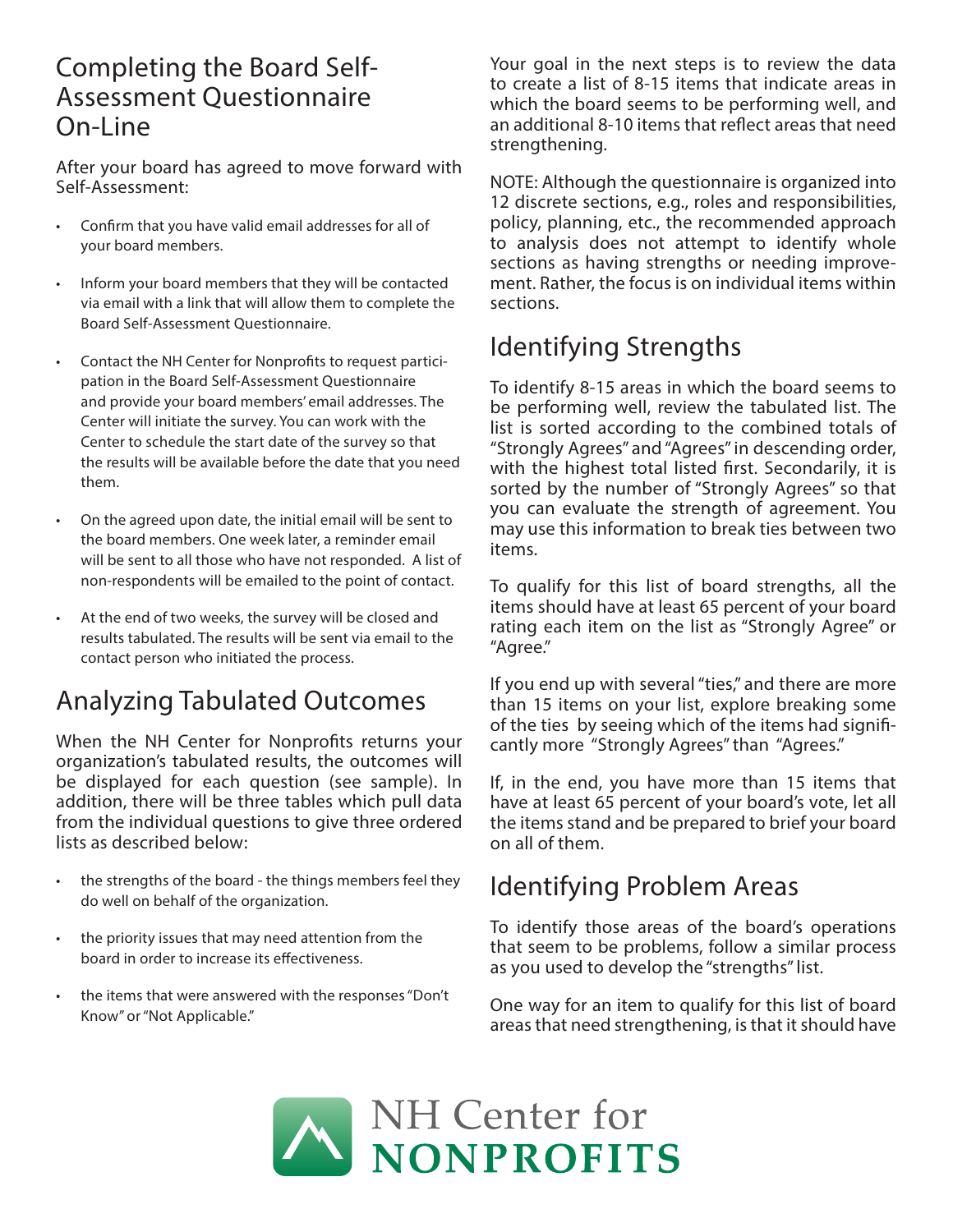#### Completing the Board Self-Assessment Questionnaire On-Line

After your board has agreed to move forward with Self-Assessment:

- Confirm that you have valid email addresses for all of your board members.
- Inform your board members that they will be contacted via email with a link that will allow them to complete the Board Self-Assessment Questionnaire.
- Contact the NH Center for Nonprofits to request participation in the Board Self-Assessment Questionnaire and provide your board members' email addresses. The Center will initiate the survey. You can work with the Center to schedule the start date of the survey so that the results will be available before the date that you need them.
- On the agreed upon date, the initial email will be sent to the board members. One week later, a reminder email will be sent to all those who have not responded. A list of non-respondents will be emailed to the point of contact.
- At the end of two weeks, the survey will be closed and results tabulated. The results will be sent via email to the contact person who initiated the process.

## Analyzing Tabulated Outcomes

When the NH Center for Nonprofits returns your organization's tabulated results, the outcomes will be displayed for each question (see sample). In addition, there will be three tables which pull data from the individual questions to give three ordered lists as described below:

- the strengths of the board the things members feel they do well on behalf of the organization.
- the priority issues that may need attention from the board in order to increase its effectiveness.
- the items that were answered with the responses "Don't Know" or "Not Applicable."

Your goal in the next steps is to review the data to create a list of 8-15 items that indicate areas in which the board seems to be performing well, and an additional 8-10 items that reflect areas that need strengthening.

NOTE: Although the questionnaire is organized into 12 discrete sections, e.g., roles and responsibilities, policy, planning, etc., the recommended approach to analysis does not attempt to identify whole sections as having strengths or needing improvement. Rather, the focus is on individual items within sections.

## Identifying Strengths

To identify 8-15 areas in which the board seems to be performing well, review the tabulated list. The list is sorted according to the combined totals of "Strongly Agrees" and "Agrees" in descending order, with the highest total listed first. Secondarily, it is sorted by the number of "Strongly Agrees" so that you can evaluate the strength of agreement. You may use this information to break ties between two items.

To qualify for this list of board strengths, all the items should have at least 65 percent of your board rating each item on the list as "Strongly Agree" or "Agree."

If you end up with several "ties," and there are more than 15 items on your list, explore breaking some of the ties by seeing which of the items had significantly more "Strongly Agrees" than "Agrees."

If, in the end, you have more than 15 items that have at least 65 percent of your board's vote, let all the items stand and be prepared to brief your board on all of them.

## Identifying Problem Areas

To identify those areas of the board's operations that seem to be problems, follow a similar process as you used to develop the "strengths" list.

One way for an item to qualify for this list of board areas that need strengthening, is that it should have

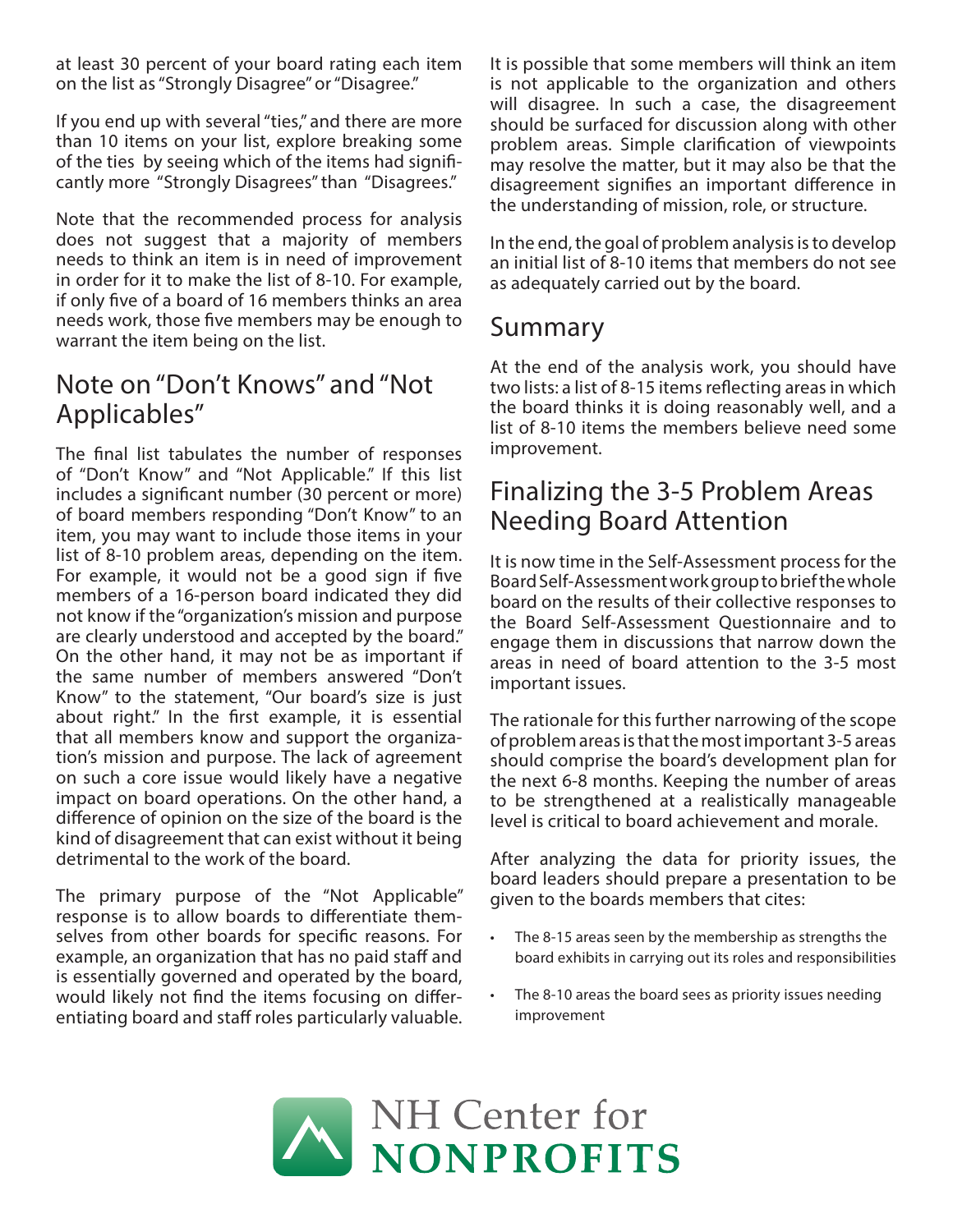at least 30 percent of your board rating each item on the list as "Strongly Disagree" or "Disagree."

If you end up with several "ties," and there are more than 10 items on your list, explore breaking some of the ties by seeing which of the items had significantly more "Strongly Disagrees" than "Disagrees."

Note that the recommended process for analysis does not suggest that a majority of members needs to think an item is in need of improvement in order for it to make the list of 8-10. For example, if only five of a board of 16 members thinks an area needs work, those five members may be enough to warrant the item being on the list.

## Note on "Don't Knows" and "Not Applicables"

The final list tabulates the number of responses of "Don't Know" and "Not Applicable." If this list includes a significant number (30 percent or more) of board members responding "Don't Know" to an item, you may want to include those items in your list of 8-10 problem areas, depending on the item. For example, it would not be a good sign if five members of a 16-person board indicated they did not know if the "organization's mission and purpose are clearly understood and accepted by the board." On the other hand, it may not be as important if the same number of members answered "Don't Know" to the statement, "Our board's size is just about right." In the first example, it is essential that all members know and support the organization's mission and purpose. The lack of agreement on such a core issue would likely have a negative impact on board operations. On the other hand, a difference of opinion on the size of the board is the kind of disagreement that can exist without it being detrimental to the work of the board.

The primary purpose of the "Not Applicable" response is to allow boards to differentiate themselves from other boards for specific reasons. For example, an organization that has no paid staff and is essentially governed and operated by the board, would likely not find the items focusing on differentiating board and staff roles particularly valuable. It is possible that some members will think an item is not applicable to the organization and others will disagree. In such a case, the disagreement should be surfaced for discussion along with other problem areas. Simple clarification of viewpoints may resolve the matter, but it may also be that the disagreement signifies an important difference in the understanding of mission, role, or structure.

In the end, the goal of problem analysis is to develop an initial list of 8-10 items that members do not see as adequately carried out by the board.

#### Summary

At the end of the analysis work, you should have two lists: a list of 8-15 items reflecting areas in which the board thinks it is doing reasonably well, and a list of 8-10 items the members believe need some improvement.

## Finalizing the 3-5 Problem Areas Needing Board Attention

It is now time in the Self-Assessment process for the Board Self-Assessment work group to brief the whole board on the results of their collective responses to the Board Self-Assessment Questionnaire and to engage them in discussions that narrow down the areas in need of board attention to the 3-5 most important issues.

The rationale for this further narrowing of the scope of problem areas is that the most important 3-5 areas should comprise the board's development plan for the next 6-8 months. Keeping the number of areas to be strengthened at a realistically manageable level is critical to board achievement and morale.

After analyzing the data for priority issues, the board leaders should prepare a presentation to be given to the boards members that cites:

- The 8-15 areas seen by the membership as strengths the board exhibits in carrying out its roles and responsibilities
- The 8-10 areas the board sees as priority issues needing improvement

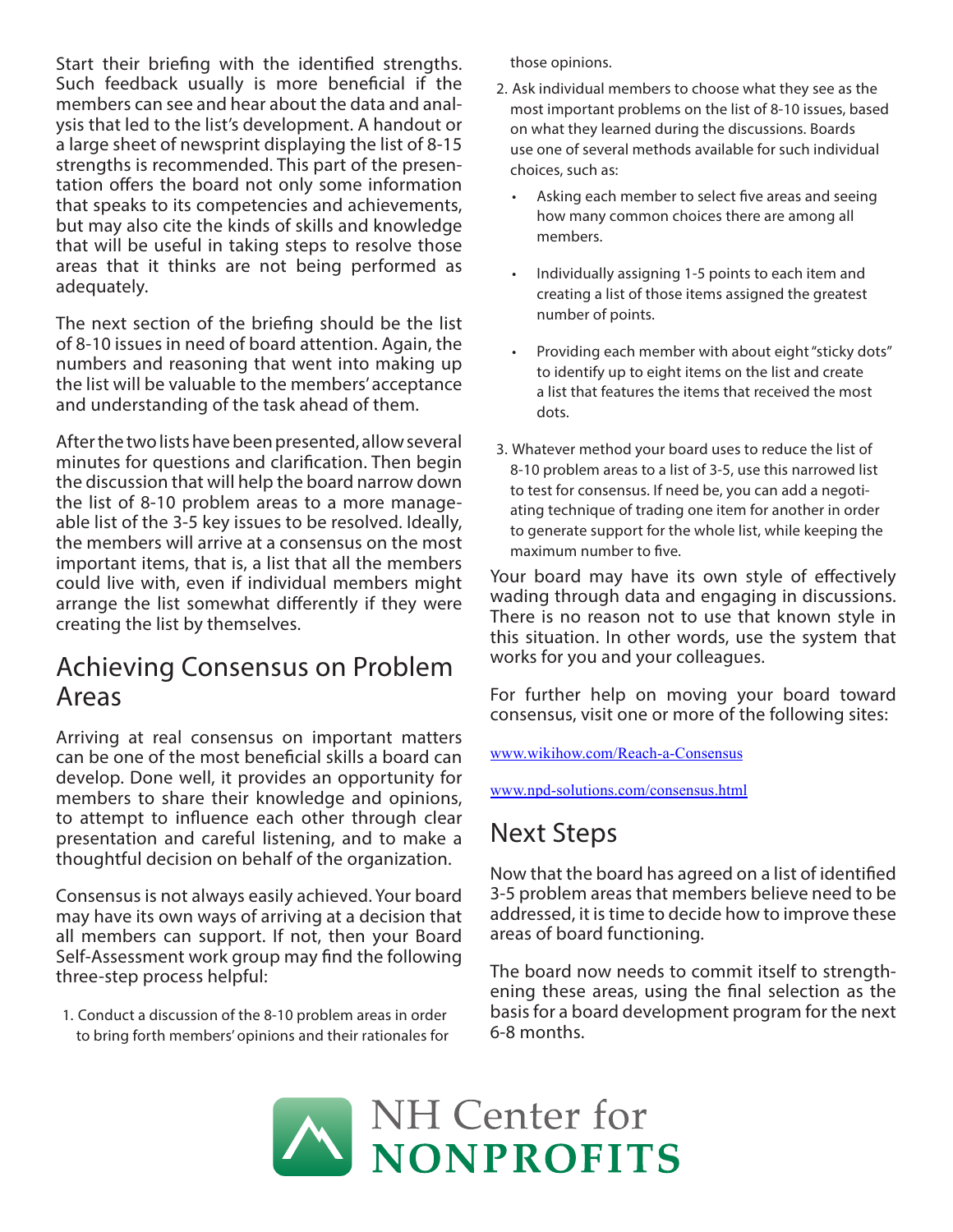Start their briefing with the identified strengths. Such feedback usually is more beneficial if the members can see and hear about the data and analysis that led to the list's development. A handout or a large sheet of newsprint displaying the list of 8-15 strengths is recommended. This part of the presentation offers the board not only some information that speaks to its competencies and achievements, but may also cite the kinds of skills and knowledge that will be useful in taking steps to resolve those areas that it thinks are not being performed as adequately.

The next section of the briefing should be the list of 8-10 issues in need of board attention. Again, the numbers and reasoning that went into making up the list will be valuable to the members' acceptance and understanding of the task ahead of them.

After the two lists have been presented, allow several minutes for questions and clarification. Then begin the discussion that will help the board narrow down the list of 8-10 problem areas to a more manageable list of the 3-5 key issues to be resolved. Ideally, the members will arrive at a consensus on the most important items, that is, a list that all the members could live with, even if individual members might arrange the list somewhat differently if they were creating the list by themselves.

#### Achieving Consensus on Problem Areas

Arriving at real consensus on important matters can be one of the most beneficial skills a board can develop. Done well, it provides an opportunity for members to share their knowledge and opinions, to attempt to influence each other through clear presentation and careful listening, and to make a thoughtful decision on behalf of the organization.

Consensus is not always easily achieved. Your board may have its own ways of arriving at a decision that all members can support. If not, then your Board Self-Assessment work group may find the following three-step process helpful:

1. Conduct a discussion of the 8-10 problem areas in order to bring forth members' opinions and their rationales for those opinions.

- 2. Ask individual members to choose what they see as the most important problems on the list of 8-10 issues, based on what they learned during the discussions. Boards use one of several methods available for such individual choices, such as:
	- Asking each member to select five areas and seeing how many common choices there are among all members.
	- Individually assigning 1-5 points to each item and creating a list of those items assigned the greatest number of points.
	- Providing each member with about eight "sticky dots" to identify up to eight items on the list and create a list that features the items that received the most dots.
- 3. Whatever method your board uses to reduce the list of 8-10 problem areas to a list of 3-5, use this narrowed list to test for consensus. If need be, you can add a negotiating technique of trading one item for another in order to generate support for the whole list, while keeping the maximum number to five.

Your board may have its own style of effectively wading through data and engaging in discussions. There is no reason not to use that known style in this situation. In other words, use the system that works for you and your colleagues.

For further help on moving your board toward consensus, visit one or more of the following sites:

www.wikihow.com/Reach-a-Consensus

www.npd-solutions.com/consensus.html

## Next Steps

Now that the board has agreed on a list of identified 3-5 problem areas that members believe need to be addressed, it is time to decide how to improve these areas of board functioning.

The board now needs to commit itself to strengthening these areas, using the final selection as the basis for a board development program for the next 6-8 months.

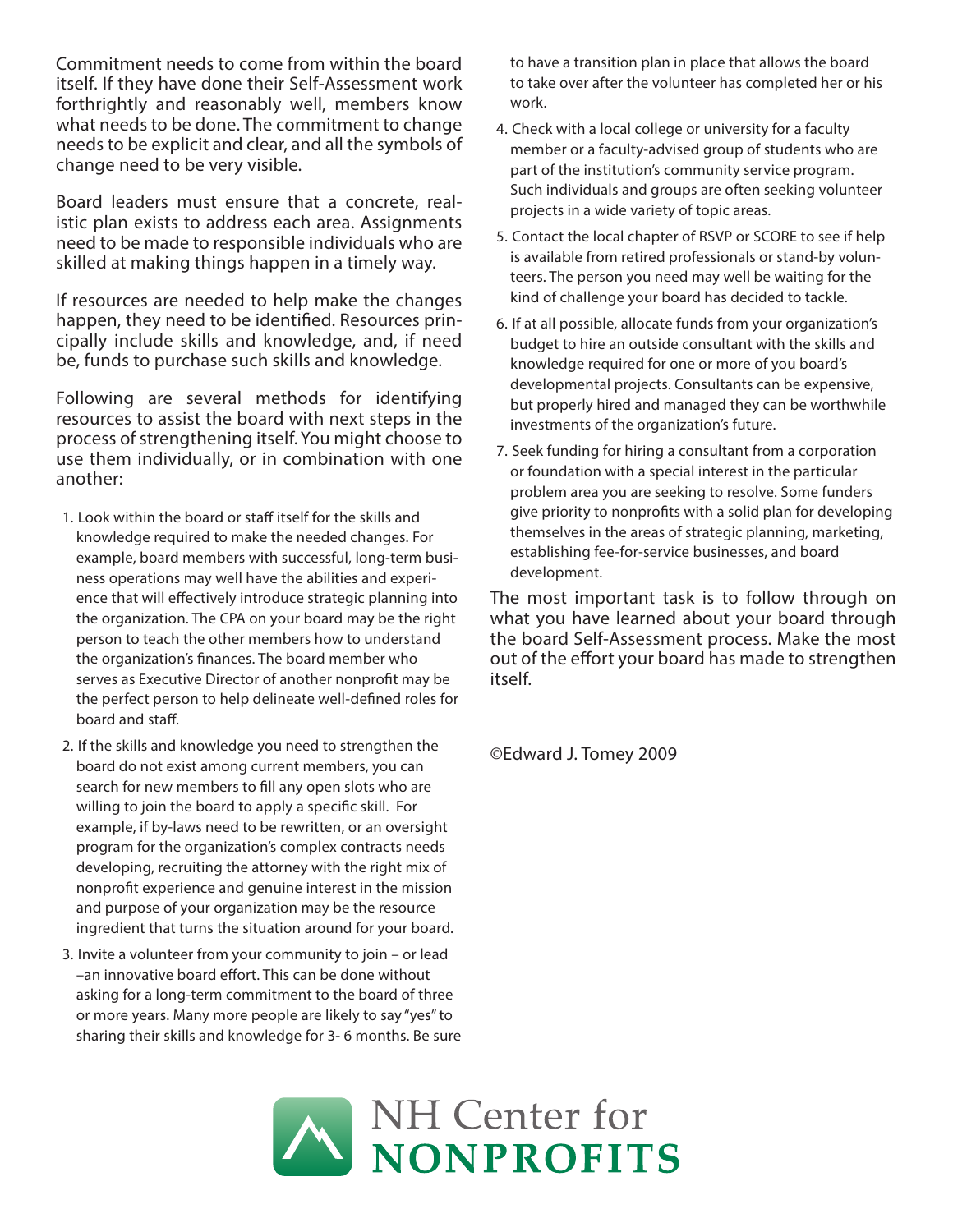Commitment needs to come from within the board itself. If they have done their Self-Assessment work forthrightly and reasonably well, members know what needs to be done. The commitment to change needs to be explicit and clear, and all the symbols of change need to be very visible.

Board leaders must ensure that a concrete, realistic plan exists to address each area. Assignments need to be made to responsible individuals who are skilled at making things happen in a timely way.

If resources are needed to help make the changes happen, they need to be identified. Resources principally include skills and knowledge, and, if need be, funds to purchase such skills and knowledge.

Following are several methods for identifying resources to assist the board with next steps in the process of strengthening itself. You might choose to use them individually, or in combination with one another:

- 1. Look within the board or staff itself for the skills and knowledge required to make the needed changes. For example, board members with successful, long-term business operations may well have the abilities and experience that will effectively introduce strategic planning into the organization. The CPA on your board may be the right person to teach the other members how to understand the organization's finances. The board member who serves as Executive Director of another nonprofit may be the perfect person to help delineate well-defined roles for board and staff.
- 2. If the skills and knowledge you need to strengthen the board do not exist among current members, you can search for new members to fill any open slots who are willing to join the board to apply a specific skill. For example, if by-laws need to be rewritten, or an oversight program for the organization's complex contracts needs developing, recruiting the attorney with the right mix of nonprofit experience and genuine interest in the mission and purpose of your organization may be the resource ingredient that turns the situation around for your board.
- 3. Invite a volunteer from your community to join or lead –an innovative board effort. This can be done without asking for a long-term commitment to the board of three or more years. Many more people are likely to say "yes" to sharing their skills and knowledge for 3- 6 months. Be sure

to have a transition plan in place that allows the board to take over after the volunteer has completed her or his work.

- 4. Check with a local college or university for a faculty member or a faculty-advised group of students who are part of the institution's community service program. Such individuals and groups are often seeking volunteer projects in a wide variety of topic areas.
- 5. Contact the local chapter of RSVP or SCORE to see if help is available from retired professionals or stand-by volunteers. The person you need may well be waiting for the kind of challenge your board has decided to tackle.
- 6. If at all possible, allocate funds from your organization's budget to hire an outside consultant with the skills and knowledge required for one or more of you board's developmental projects. Consultants can be expensive, but properly hired and managed they can be worthwhile investments of the organization's future.
- 7. Seek funding for hiring a consultant from a corporation or foundation with a special interest in the particular problem area you are seeking to resolve. Some funders give priority to nonprofits with a solid plan for developing themselves in the areas of strategic planning, marketing, establishing fee-for-service businesses, and board development.

The most important task is to follow through on what you have learned about your board through the board Self-Assessment process. Make the most out of the effort your board has made to strengthen itself.

©Edward J. Tomey 2009